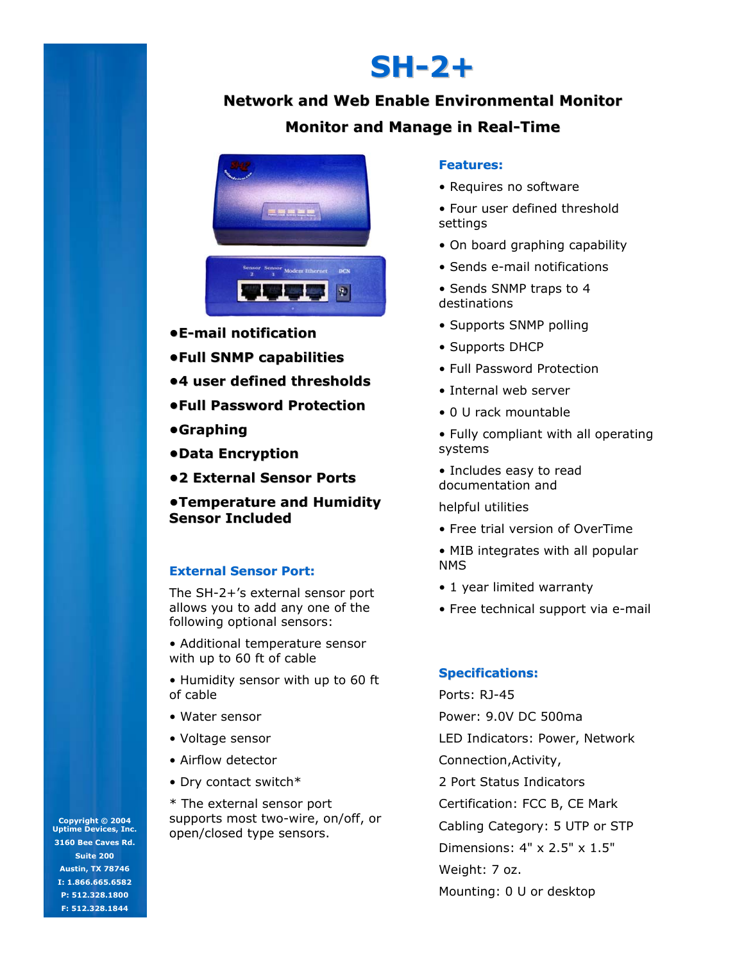# **SH-2+**

# **Network and Web Enable Environmental Monitor**

## **Monitor and Manage in Real-Time**



- **•E-mail notification**
- **•Full SNMP capabilities**
- **•4 user defined thresholds**
- **•Full Password Protection**
- **•Graphing**
- **•Data Encryption**
- **•2 External Sensor Ports**

**•Temperature and Humidity •Temperature Humidity Sensor Included**

#### **External Sensor Port:**

The SH-2+'s external sensor port allows you to add any one of the following optional sensors:

• Additional temperature sensor with up to 60 ft of cable

• Humidity sensor with up to 60 ft of cable

- Water sensor
- Voltage sensor
- Airflow detector
- Dry contact switch\*

\* The external sensor port supports most two-wire, on/off, or open/closed type sensors.

#### **Features:**

- Requires no software
- Four user defined threshold settings
- On board graphing capability
- Sends e-mail notifications
- Sends SNMP traps to 4 destinations
- Supports SNMP polling
- Supports DHCP
- Full Password Protection
- Internal web server
- 0 U rack mountable

• Fully compliant with all operating systems

• Includes easy to read documentation and

helpful utilities

- Free trial version of OverTime
- MIB integrates with all popular NMS
- 1 year limited warranty
- Free technical support via e-mail

#### **Specifications:**

Ports: RJ-45 Power: 9.0V DC 500ma LED Indicators: Power, Network Connection,Activity, 2 Port Status Indicators Certification: FCC B, CE Mark Cabling Category: 5 UTP or STP Dimensions: 4" x 2.5" x 1.5" Weight: 7 oz. Mounting: 0 U or desktop

**Copyright © 2004 Uptime Devices, Inc. 3160 Bee Caves Rd. Suite 200 Austin, TX 78746 I: 1.866.665.6582 P: 512.328.1800 F: 512.328.1844**